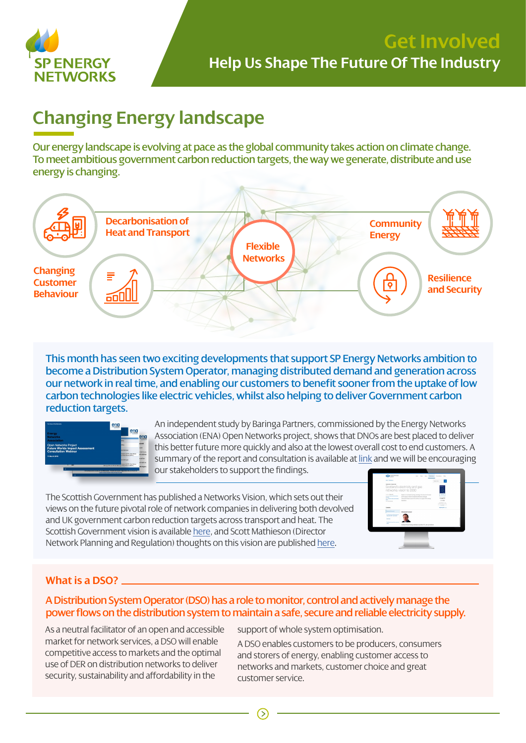

# **Changing Energy landscape**

Our energy landscape is evolving at pace as the global community takes action on climate change. To meet ambitious government carbon reduction targets, the way we generate, distribute and use energy is changing.



This month has seen two exciting developments that support SP Energy Networks ambition to become a Distribution System Operator, managing distributed demand and generation across our network in real time, and enabling our customers to benefit sooner from the uptake of low carbon technologies like electric vehicles, whilst also helping to deliver Government carbon reduction targets.



An independent study by Baringa Partners, commissioned by the Energy Networks Association (ENA) Open Networks project, shows that DNOs are best placed to deliver this better future more quickly and also at the lowest overall cost to end customers. A summary of the report and consultation is available at [link](http://www.energynetworks.org/assets/files/ONP-IA-Webinar-Slides-11March2019%20v5.pdf) and we will be encouraging our stakeholders to support the findings.

The Scottish Government has published a Networks Vision, which sets out their views on the future pivotal role of network companies in delivering both devolved and UK government carbon reduction targets across transport and heat. The Scottish Government vision is available [here](https://www.gov.scot/publications/vision-scotlands-electricity-gas-networks-2030/), and Scott Mathieson (Director Network Planning and Regulation) thoughts on this vision are published [here.](https://www.spenergynetworks.co.uk/news/pages/scottish_government_networks.aspx)



### **What is a DSO?**

### A Distribution System Operator (DSO) has a role to monitor, control and actively manage the power flows on the distribution system to maintain a safe, secure and reliable electricity supply.

As a neutral facilitator of an open and accessible market for network services, a DSO will enable competitive access to markets and the optimal use of DER on distribution networks to deliver security, sustainability and affordability in the

support of whole system optimisation.

A DSO enables customers to be producers, consumers and storers of energy, enabling customer access to networks and markets, customer choice and great customer service.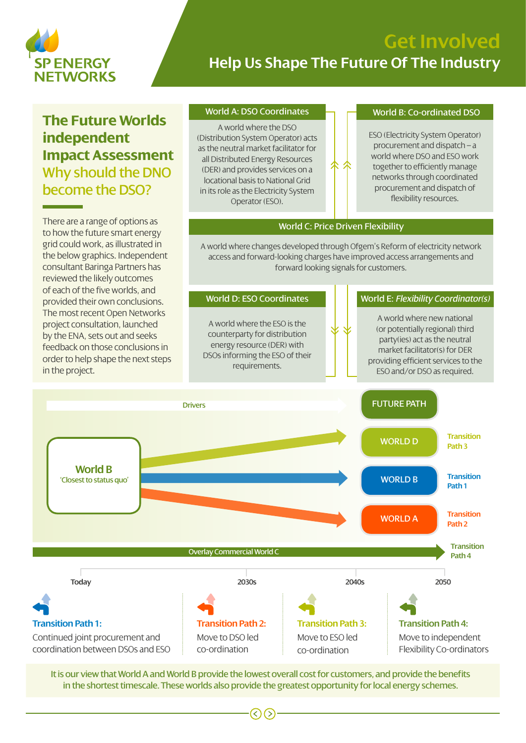

## **Get Involved Help Us Shape The Future Of The Industry**

## **The Future Worlds independent Impact Assessment** Why should the DNO become the DSO?

There are a range of options as to how the future smart energy grid could work, as illustrated in the below graphics. Independent consultant Baringa Partners has reviewed the likely outcomes of each of the five worlds, and

#### World A: DSO Coordinates

A world where the DSO (Distribution System Operator) acts as the neutral market facilitator for all Distributed Energy Resources (DER) and provides services on a locational basis to National Grid in its role as the Electricity System Operator (ESO).

#### World B: Co-ordinated DSO

ESO (Electricity System Operator) procurement and dispatch – a world where DSO and ESO work together to efficiently manage networks through coordinated procurement and dispatch of flexibility resources.

#### World C: Price Driven Flexibility

尒

A world where changes developed through Ofgem's Reform of electricity network access and forward-looking charges have improved access arrangements and forward looking signals for customers.



It is our view that World A and World B provide the lowest overall cost for customers, and provide the benefits in the shortest timescale. These worlds also provide the greatest opportunity for local energy schemes.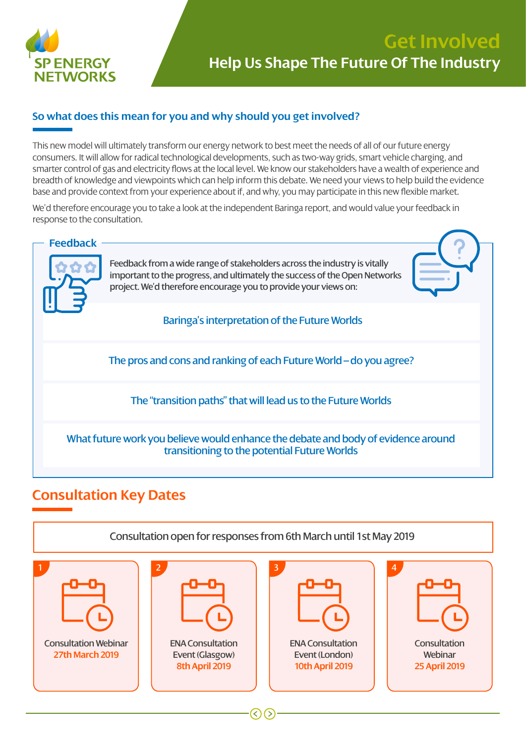

## **Get Involved Help Us Shape The Future Of The Industry**

### **So what does this mean for you and why should you get involved?**

This new model will ultimately transform our energy network to best meet the needs of all of our future energy consumers. It will allow for radical technological developments, such as two-way grids, smart vehicle charging, and smarter control of gas and electricity flows at the local level. We know our stakeholders have a wealth of experience and breadth of knowledge and viewpoints which can help inform this debate. We need your views to help build the evidence base and provide context from your experience about if, and why, you may participate in this new flexible market.

We'd therefore encourage you to take a look at the independent Baringa report, and would value your feedback in response to the consultation.



### **Consultation Key Dates**



 $(\langle \rangle)$